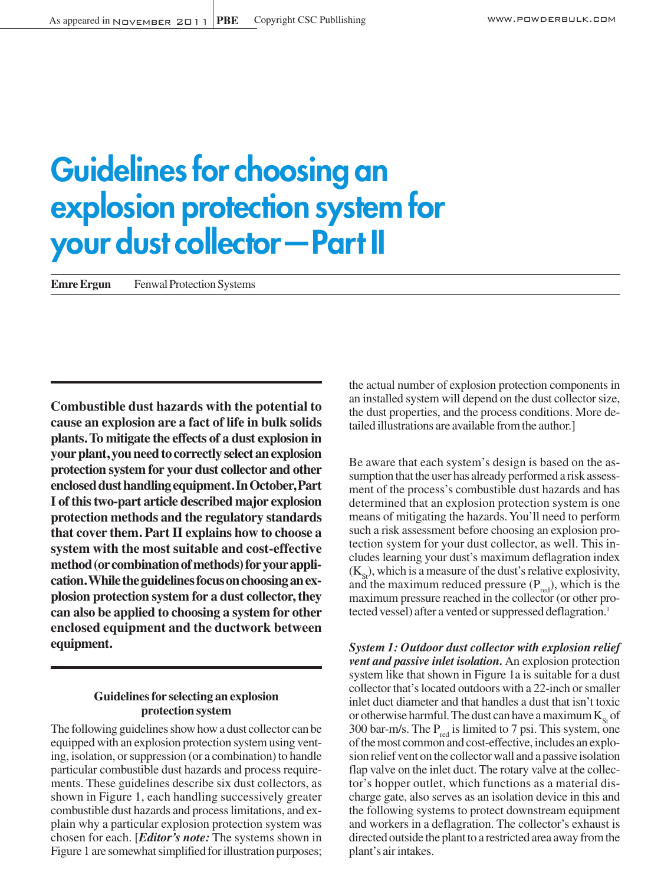# **Guidelines for choosing an explosion protection system for your dust collector—Part II**

**Emre Ergun** Fenwal Protection Systems

**Combustible dust hazards with the potential to cause an explosion are a fact of life in bulk solids plants.To mitigate the effects of a dust explosion in yourplant, youneedto correctly select anexplosion protection system for your dust collector and other encloseddusthandlingequipment.InOctober,Part I of thistwo-part article described major explosion protection methods and the regulatory standards that cover them. Part II explains how to choose a system with the most suitable and cost-effective method(orcombinationofmethods)foryourappli**cation. While the guidelines focus on choosing an ex**plosion protection system for a dust collector, they can also be applied to choosing a system for other enclosed equipment and the ductwork between equipment.**

# **Guidelinesfor selecting an explosion protection system**

The following guidelines show how a dust collector can be. equipped with an explosion protection system using venting, isolation, or suppression (or a combination) to handle particular combustible dust hazards and process requirements. These guidelines describe six dust collectors, as shown in Figure 1, each handling successively greater combustible dust hazards and processlimitations, and explain why a particular explosion protection system was chosen for each. [*Editor's note:* The systems shown in Figure 1 are somewhat simplified for illustration purposes;

the actual number of explosion protection components in an installed system will depend on the dust collectorsize, the dust properties, and the process conditions. More detailed illustrations are available from the author.]

Be aware that each system's design is based on the assumption that the user has already performed a risk assessment of the process's combustible dust hazards and has determined that an explosion protection system is one means of mitigating the hazards.You'll need to perform such a risk assessment before choosing an explosion protection system for your dust collector, as well. This includes learning your dust's maximum deflagration index  $(K_{S_t})$ , which is a measure of the dust's relative explosivity, and the maximum reduced pressure  $(P_{\text{red}})$ , which is the maximum pressure reached in the collector (or other protected vessel) after a vented or suppressed deflagration.<sup>1</sup>

*System 1: Outdoor dust collector with explosion relief vent and passive inlet isolation.* An explosion protection system like that shown in Figure 1a is suitable for a dust collector that's located outdoors with a 22-inch or smaller inlet duct diameter and that handles a dust that isn't toxic or otherwise harmful. The dust can have a maximum  $K_{St}$  of 300 bar-m/s. The  $P_{\text{red}}$  is limited to 7 psi. This system, one of the most common and cost-effective, includes an explosion relief vent on the collectorwall and a passive isolation flap valve on the inlet duct. The rotary valve at the collector's hopper outlet, which functions as a material discharge gate, also serves as an isolation device in this and the following systems to protect downstream equipment and workers in a deflagration. The collector's exhaust is directed outside the plant to a restricted area away from the plant's airintakes.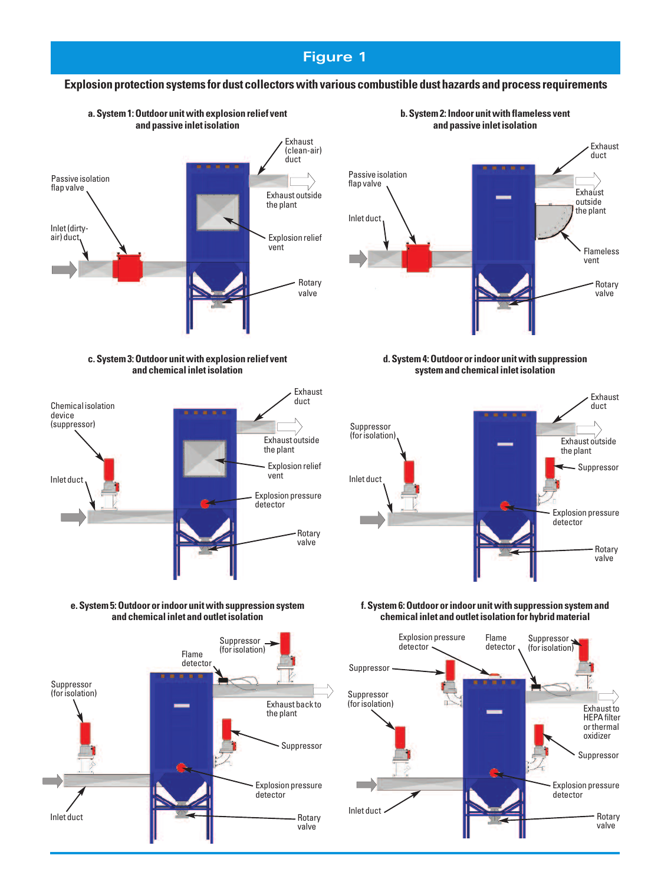# **Figure 1**

### **Explosion protection systems for dust collectorswith various combustible dust hazards and process requirements**



#### **c.System3:Outdoor unitwith explosion relief vent and chemicalinletisolation**



**e.System5:Outdoor orindoor unitwith suppression system and chemicalinlet and outletisolation**





**b.System2:Indoor unitwith flameless vent and passive inletisolation**

#### **d.System4:Outdoor orindoor unitwith suppression systemand chemicalinletisolation**



#### **f.System6:Outdoor orindoor unitwith suppression systemand chemicalinlet and outletisolation for hybridmaterial**

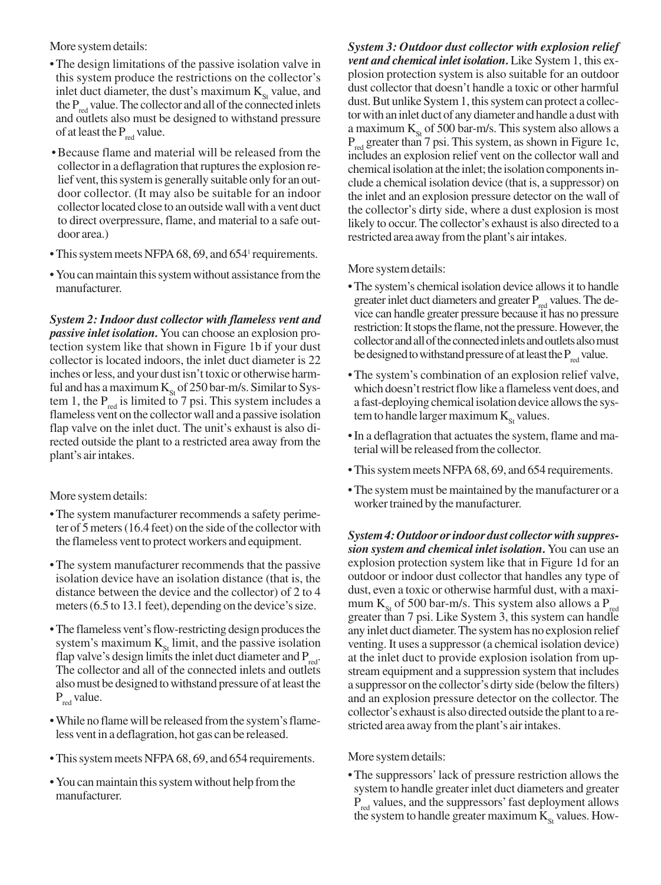More system details:

- •The design limitations of the passive isolation valve in this system produce the restrictions on the collector's inlet duct diameter, the dust's maximum  $K_{\rm st}$  value, and the  $P_{\text{red}}$  value. The collector and all of the connected inlets and outlets also must be designed to withstand pressure of at least the  $P_{red}$  value.
- •Because flame and material will be released from the collector in a deflagration that ruptures the explosion relief vent, this system is generally suitable only for an outdoor collector. (It may also be suitable for an indoor collector located close to an outside wall with a vent duct to direct overpressure, flame, and material to a safe outdoor area.)
- This system meets NFPA 68, 69, and 654<sup>1</sup> requirements.
- You can maintain this system without assistance from the manufacturer.

*System 2: Indoor dust collector with flameless vent and passive inlet isolation.* You can choose an explosion protection system like that shown in Figure 1b if your dust collector is located indoors, the inlet duct diameter is 22 inches or less, and your dust isn't toxic or otherwise harmful and has a maximum  $K_{\text{St}}$  of 250 bar-m/s. Similar to System 1, the  $P_{red}$  is limited to 7 psi. This system includes a flameless vent on the collectorwall and a passive isolation flap valve on the inlet duct. The unit's exhaust is also directed outside the plant to a restricted area away from the plant's airintakes.

More system details:

- •The system manufacturer recommends a safety perimeter of 5 meters (16.4 feet) on the side of the collector with the flameless vent to protectworkers and equipment.
- •The system manufacturer recommends that the passive isolation device have an isolation distance (that is, the distance between the device and the collector) of 2 to 4 meters (6.5 to 13.1 feet), depending on the device's size.
- The flameless vent's flow-restricting design produces the system's maximum  $K_{\rm st}$  limit, and the passive isolation flap valve's design limits the inlet duct diameter and  $P_{\text{red}}$ . The collector and all of the connected inlets and outlets alsomust be designed towithstand pressure of atleastthe  $P_{\text{red}}$  value.
- While no flame will be released from the system's flameless vent in a deflagration, hot gas can be released.
- This system meets NFPA 68, 69, and 654 requirements.
- You can maintain this system without help from the manufacturer.

*System 3: Outdoor dust collector with explosion relief vent and chemical inlet isolation.* Like System 1, this explosion protection system is also suitable for an outdoor dust collector that doesn't handle a toxic or other harmful dust. But unlike System 1, this system can protect a collector with an inlet duct of any diameter and handle a dust with a maximum  $K_{St}$  of 500 bar-m/s. This system also allows a  $P_{\text{red}}$  greater than 7 psi. This system, as shown in Figure 1c, includes an explosion relief vent on the collector wall and chemical isolation at the inlet; the isolation components include a chemical isolation device (that is, a suppressor) on the inlet and an explosion pressure detector on the wall of the collector's dirty side, where a dust explosion is most likely to occur. The collector's exhaust is also directed to a restricted area away from the plant's air intakes.

More system details:

- The system's chemical isolation device allows it to handle greater inlet duct diameters and greater  $P_{\text{red}}$  values. The device can handle greater pressure because it has no pressure restriction: It stops the flame, not the pressure. However, the collector and all of the connected inlets and outlets also must be designed to withstand pressure of at least the  $P_{\text{red}}$  value.
- •The system's combination of an explosion relief valve, which doesn't restrict flow like a flameless vent does, and a fast-deploying chemical isolation device allows the system to handle larger maximum  $K_{\text{St}}$  values.
- In a deflagration that actuates the system, flame and material will be released from the collector.
- This system meets NFPA 68, 69, and 654 requirements.
- The system must be maintained by the manufacturer or a worker trained by the manufacturer.

System 4: Outdoor or *indoor dust* collector with suppres*sion system and chemical inlet isolation.* You can use an explosion protection system like that in Figure 1d for an outdoor or indoor dust collector that handles any type of dust, even a toxic or otherwise harmful dust, with a maximum  $K_{s_t}$  of 500 bar-m/s. This system also allows a  $P_{red}$ greater than 7 psi. Like System 3, this system can handle any inlet duct diameter.The systemhas no explosion relief venting. It uses a suppressor (a chemical isolation device) at the inlet duct to provide explosion isolation from upstream equipment and a suppression system that includes a suppressor on the collector's dirty side (belowthe filters) and an explosion pressure detector on the collector. The collector's exhaust is also directed outside the plant to a restricted area away from the plant's air intakes.

More system details:

•The suppressors'lack of pressure restriction allows the system to handle greater inlet duct diameters and greater P<sub>red</sub> values, and the suppressors' fast deployment allows the system to handle greater maximum  $K_{S_t}$  values. How